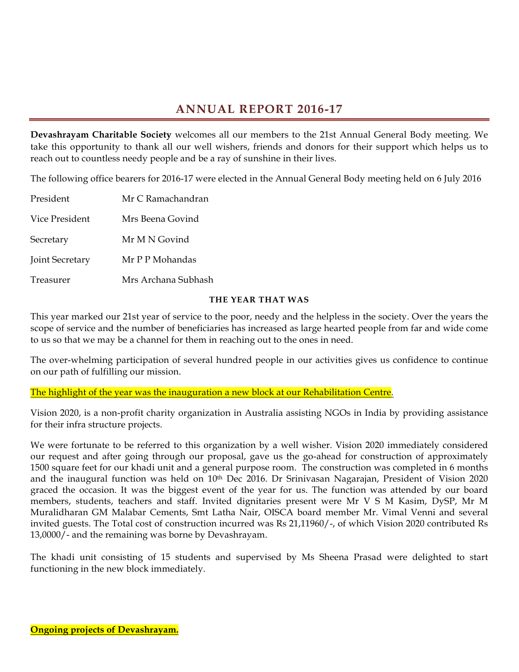# **ANNUAL REPORT 2016-17**

**Devashrayam Charitable Society** welcomes all our members to the 21st Annual General Body meeting. We take this opportunity to thank all our well wishers, friends and donors for their support which helps us to reach out to countless needy people and be a ray of sunshine in their lives.

The following office bearers for 2016-17 were elected in the Annual General Body meeting held on 6 July 2016

| President       | Mr C Ramachandran   |
|-----------------|---------------------|
| Vice President  | Mrs Beena Govind    |
| Secretary       | Mr M N Govind       |
| Joint Secretary | Mr P P Mohandas     |
| Treasurer       | Mrs Archana Subhash |

#### **THE YEAR THAT WAS**

This year marked our 21st year of service to the poor, needy and the helpless in the society. Over the years the scope of service and the number of beneficiaries has increased as large hearted people from far and wide come to us so that we may be a channel for them in reaching out to the ones in need.

The over-whelming participation of several hundred people in our activities gives us confidence to continue on our path of fulfilling our mission.

The highlight of the year was the inauguration a new block at our Rehabilitation Centre.

Vision 2020, is a non-profit charity organization in Australia assisting NGOs in India by providing assistance for their infra structure projects.

We were fortunate to be referred to this organization by a well wisher. Vision 2020 immediately considered our request and after going through our proposal, gave us the go-ahead for construction of approximately 1500 square feet for our khadi unit and a general purpose room. The construction was completed in 6 months and the inaugural function was held on 10<sup>th</sup> Dec 2016. Dr Srinivasan Nagarajan, President of Vision 2020 graced the occasion. It was the biggest event of the year for us. The function was attended by our board members, students, teachers and staff. Invited dignitaries present were Mr V S M Kasim, DySP, Mr M Muralidharan GM Malabar Cements, Smt Latha Nair, OISCA board member Mr. Vimal Venni and several invited guests. The Total cost of construction incurred was Rs 21,11960/-, of which Vision 2020 contributed Rs 13,0000/- and the remaining was borne by Devashrayam.

The khadi unit consisting of 15 students and supervised by Ms Sheena Prasad were delighted to start functioning in the new block immediately.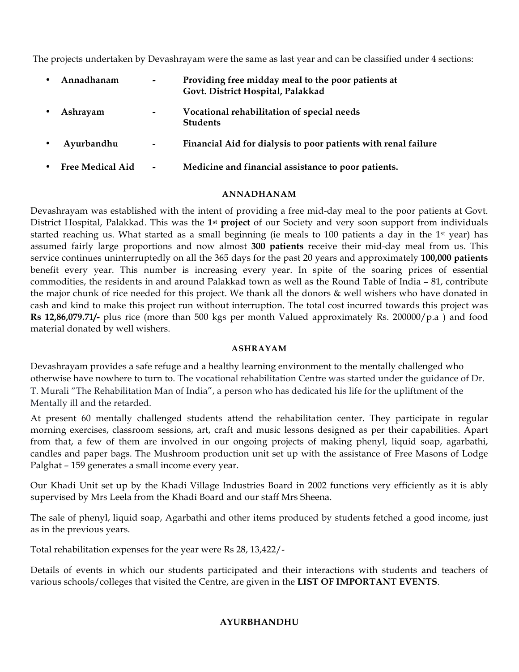The projects undertaken by Devashrayam were the same as last year and can be classified under 4 sections:

| Annadhanam              | $\overline{\phantom{a}}$ | Providing free midday meal to the poor patients at<br>Govt. District Hospital, Palakkad |
|-------------------------|--------------------------|-----------------------------------------------------------------------------------------|
| Ashrayam                | $\overline{\phantom{a}}$ | Vocational rehabilitation of special needs<br><b>Students</b>                           |
| Ayurbandhu              | $\overline{\phantom{a}}$ | Financial Aid for dialysis to poor patients with renal failure                          |
| <b>Free Medical Aid</b> | $\overline{\phantom{a}}$ | Medicine and financial assistance to poor patients.                                     |
|                         |                          |                                                                                         |

#### **ANNADHANAM**

Devashrayam was established with the intent of providing a free mid-day meal to the poor patients at Govt. District Hospital, Palakkad. This was the **1st project** of our Society and very soon support from individuals started reaching us. What started as a small beginning (ie meals to 100 patients a day in the 1<sup>st</sup> year) has assumed fairly large proportions and now almost **300 patients** receive their mid-day meal from us. This service continues uninterruptedly on all the 365 days for the past 20 years and approximately **100,000 patients**  benefit every year. This number is increasing every year. In spite of the soaring prices of essential commodities, the residents in and around Palakkad town as well as the Round Table of India – 81, contribute the major chunk of rice needed for this project. We thank all the donors & well wishers who have donated in cash and kind to make this project run without interruption. The total cost incurred towards this project was **Rs 12,86,079.71/-** plus rice (more than 500 kgs per month Valued approximately Rs. 200000/p.a ) and food material donated by well wishers.

#### **ASHRAYAM**

Devashrayam provides a safe refuge and a healthy learning environment to the mentally challenged who otherwise have nowhere to turn to. The vocational rehabilitation Centre was started under the guidance of Dr. T. Murali "The Rehabilitation Man of India", a person who has dedicated his life for the upliftment of the Mentally ill and the retarded.

At present 60 mentally challenged students attend the rehabilitation center. They participate in regular morning exercises, classroom sessions, art, craft and music lessons designed as per their capabilities. Apart from that, a few of them are involved in our ongoing projects of making phenyl, liquid soap, agarbathi, candles and paper bags. The Mushroom production unit set up with the assistance of Free Masons of Lodge Palghat – 159 generates a small income every year.

Our Khadi Unit set up by the Khadi Village Industries Board in 2002 functions very efficiently as it is ably supervised by Mrs Leela from the Khadi Board and our staff Mrs Sheena.

The sale of phenyl, liquid soap, Agarbathi and other items produced by students fetched a good income, just as in the previous years.

Total rehabilitation expenses for the year were Rs 28, 13,422/-

Details of events in which our students participated and their interactions with students and teachers of various schools/colleges that visited the Centre, are given in the **LIST OF IMPORTANT EVENTS**.

#### **AYURBHANDHU**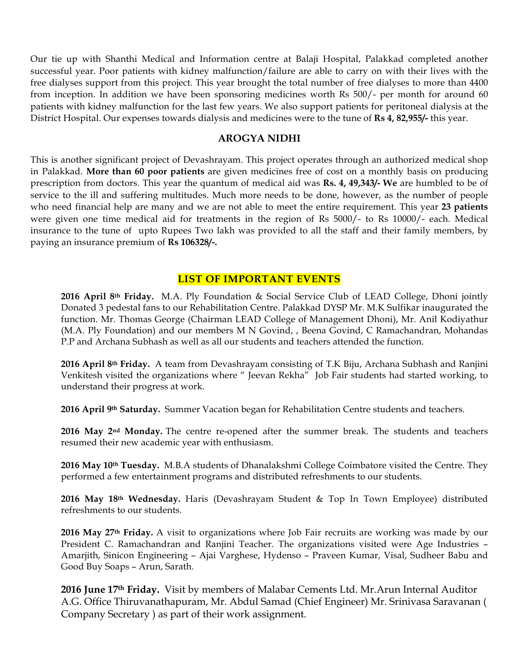Our tie up with Shanthi Medical and Information centre at Balaji Hospital, Palakkad completed another successful year. Poor patients with kidney malfunction/failure are able to carry on with their lives with the free dialyses support from this project. This year brought the total number of free dialyses to more than 4400 from inception. In addition we have been sponsoring medicines worth Rs 500/- per month for around 60 patients with kidney malfunction for the last few years. We also support patients for peritoneal dialysis at the District Hospital. Our expenses towards dialysis and medicines were to the tune of **Rs 4, 82,955/-** this year.

#### **AROGYA NIDHI**

This is another significant project of Devashrayam. This project operates through an authorized medical shop in Palakkad. **More than 60 poor patients** are given medicines free of cost on a monthly basis on producing prescription from doctors. This year the quantum of medical aid was **Rs. 4, 49,343/- We** are humbled to be of service to the ill and suffering multitudes. Much more needs to be done, however, as the number of people who need financial help are many and we are not able to meet the entire requirement. This year **23 patients** were given one time medical aid for treatments in the region of Rs 5000/- to Rs 10000/- each. Medical insurance to the tune of upto Rupees Two lakh was provided to all the staff and their family members, by paying an insurance premium of **Rs 106328/-.** 

#### **LIST OF IMPORTANT EVENTS**

**2016 April 8th Friday.** M.A. Ply Foundation & Social Service Club of LEAD College, Dhoni jointly Donated 3 pedestal fans to our Rehabilitation Centre. Palakkad DYSP Mr. M.K Sulfikar inaugurated the function. Mr. Thomas George (Chairman LEAD College of Management Dhoni), Mr. Anil Kodiyathur (M.A. Ply Foundation) and our members M N Govind, , Beena Govind, C Ramachandran, Mohandas P.P and Archana Subhash as well as all our students and teachers attended the function.

**2016 April 8th Friday.** A team from Devashrayam consisting of T.K Biju, Archana Subhash and Ranjini Venkitesh visited the organizations where " Jeevan Rekha" Job Fair students had started working, to understand their progress at work.

**2016 April 9th Saturday.** Summer Vacation began for Rehabilitation Centre students and teachers.

**2016 May 2nd Monday.** The centre re-opened after the summer break. The students and teachers resumed their new academic year with enthusiasm.

**2016 May 10th Tuesday.** M.B.A students of Dhanalakshmi College Coimbatore visited the Centre. They performed a few entertainment programs and distributed refreshments to our students.

**2016 May 18th Wednesday.** Haris (Devashrayam Student & Top In Town Employee) distributed refreshments to our students.

**2016 May 27th Friday.** A visit to organizations where Job Fair recruits are working was made by our President C. Ramachandran and Ranjini Teacher. The organizations visited were Age Industries – Amarjith, Sinicon Engineering – Ajai Varghese, Hydenso – Praveen Kumar, Visal, Sudheer Babu and Good Buy Soaps – Arun, Sarath.

**2016 June 17th Friday.** Visit by members of Malabar Cements Ltd. Mr.Arun Internal Auditor A.G. Office Thiruvanathapuram, Mr. Abdul Samad (Chief Engineer) Mr. Srinivasa Saravanan ( Company Secretary ) as part of their work assignment.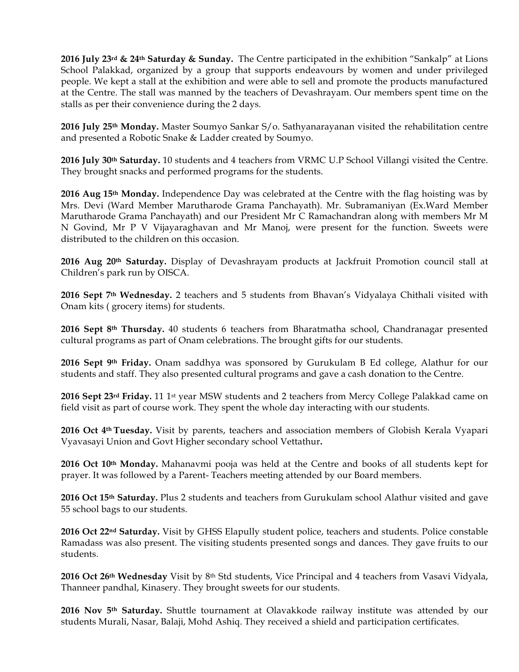**2016 July 23rd & 24th Saturday & Sunday.** The Centre participated in the exhibition "Sankalp" at Lions School Palakkad, organized by a group that supports endeavours by women and under privileged people. We kept a stall at the exhibition and were able to sell and promote the products manufactured at the Centre. The stall was manned by the teachers of Devashrayam. Our members spent time on the stalls as per their convenience during the 2 days.

**2016 July 25th Monday.** Master Soumyo Sankar S/o. Sathyanarayanan visited the rehabilitation centre and presented a Robotic Snake & Ladder created by Soumyo.

**2016 July 30th Saturday.** 10 students and 4 teachers from VRMC U.P School Villangi visited the Centre. They brought snacks and performed programs for the students.

**2016 Aug 15th Monday.** Independence Day was celebrated at the Centre with the flag hoisting was by Mrs. Devi (Ward Member Marutharode Grama Panchayath). Mr. Subramaniyan (Ex.Ward Member Marutharode Grama Panchayath) and our President Mr C Ramachandran along with members Mr M N Govind, Mr P V Vijayaraghavan and Mr Manoj, were present for the function. Sweets were distributed to the children on this occasion.

**2016 Aug 20th Saturday.** Display of Devashrayam products at Jackfruit Promotion council stall at Children's park run by OISCA.

**2016 Sept 7th Wednesday.** 2 teachers and 5 students from Bhavan's Vidyalaya Chithali visited with Onam kits ( grocery items) for students.

**2016 Sept 8th Thursday.** 40 students 6 teachers from Bharatmatha school, Chandranagar presented cultural programs as part of Onam celebrations. The brought gifts for our students.

**2016 Sept 9th Friday.** Onam saddhya was sponsored by Gurukulam B Ed college, Alathur for our students and staff. They also presented cultural programs and gave a cash donation to the Centre.

**2016 Sept 23rd Friday.** 11 1st year MSW students and 2 teachers from Mercy College Palakkad came on field visit as part of course work. They spent the whole day interacting with our students.

**2016 Oct 4th Tuesday.** Visit by parents, teachers and association members of Globish Kerala Vyapari Vyavasayi Union and Govt Higher secondary school Vettathur**.** 

**2016 Oct 10th Monday.** Mahanavmi pooja was held at the Centre and books of all students kept for prayer. It was followed by a Parent- Teachers meeting attended by our Board members.

**2016 Oct 15th Saturday.** Plus 2 students and teachers from Gurukulam school Alathur visited and gave 55 school bags to our students.

**2016 Oct 22nd Saturday.** Visit by GHSS Elapully student police, teachers and students. Police constable Ramadass was also present. The visiting students presented songs and dances. They gave fruits to our students.

**2016 Oct 26th Wednesday** Visit by 8th Std students, Vice Principal and 4 teachers from Vasavi Vidyala, Thanneer pandhal, Kinasery. They brought sweets for our students.

**2016 Nov 5th Saturday.** Shuttle tournament at Olavakkode railway institute was attended by our students Murali, Nasar, Balaji, Mohd Ashiq. They received a shield and participation certificates.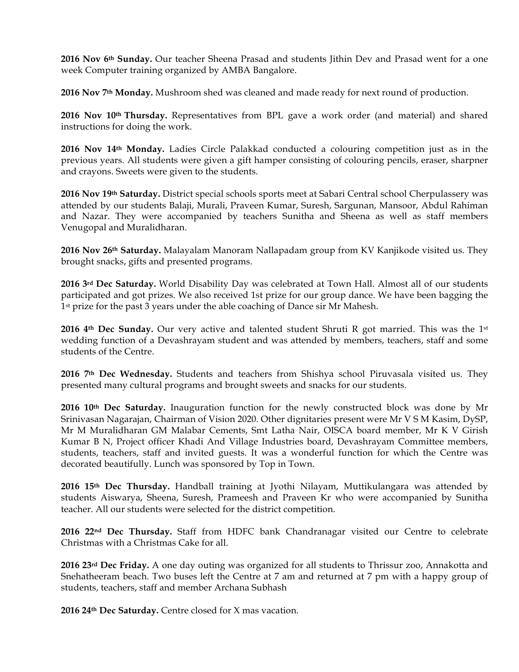**2016 Nov 6th Sunday.** Our teacher Sheena Prasad and students Jithin Dev and Prasad went for a one week Computer training organized by AMBA Bangalore.

**2016 Nov 7th Monday.** Mushroom shed was cleaned and made ready for next round of production.

**2016 Nov 10th Thursday.** Representatives from BPL gave a work order (and material) and shared instructions for doing the work.

**2016 Nov 14th Monday.** Ladies Circle Palakkad conducted a colouring competition just as in the previous years. All students were given a gift hamper consisting of colouring pencils, eraser, sharpner and crayons. Sweets were given to the students.

**2016 Nov 19th Saturday.** District special schools sports meet at Sabari Central school Cherpulassery was attended by our students Balaji, Murali, Praveen Kumar, Suresh, Sargunan, Mansoor, Abdul Rahiman and Nazar. They were accompanied by teachers Sunitha and Sheena as well as staff members Venugopal and Muralidharan.

**2016 Nov 26th Saturday.** Malayalam Manoram Nallapadam group from KV Kanjikode visited us. They brought snacks, gifts and presented programs.

**2016 3rd Dec Saturday.** World Disability Day was celebrated at Town Hall. Almost all of our students participated and got prizes. We also received 1st prize for our group dance. We have been bagging the 1st prize for the past 3 years under the able coaching of Dance sir Mr Mahesh.

**2016 4th Dec Sunday.** Our very active and talented student Shruti R got married. This was the 1st wedding function of a Devashrayam student and was attended by members, teachers, staff and some students of the Centre.

**2016 7th Dec Wednesday.** Students and teachers from Shishya school Piruvasala visited us. They presented many cultural programs and brought sweets and snacks for our students.

**2016 10th Dec Saturday.** Inauguration function for the newly constructed block was done by Mr Srinivasan Nagarajan, Chairman of Vision 2020. Other dignitaries present were Mr V S M Kasim, DySP, Mr M Muralidharan GM Malabar Cements, Smt Latha Nair, OISCA board member, Mr K V Girish Kumar B N, Project officer Khadi And Village Industries board, Devashrayam Committee members, students, teachers, staff and invited guests. It was a wonderful function for which the Centre was decorated beautifully. Lunch was sponsored by Top in Town.

**2016 15th Dec Thursday.** Handball training at Jyothi Nilayam, Muttikulangara was attended by students Aiswarya, Sheena, Suresh, Prameesh and Praveen Kr who were accompanied by Sunitha teacher. All our students were selected for the district competition.

**2016 22nd Dec Thursday.** Staff from HDFC bank Chandranagar visited our Centre to celebrate Christmas with a Christmas Cake for all.

**2016 23rd Dec Friday.** A one day outing was organized for all students to Thrissur zoo, Annakotta and Snehatheeram beach. Two buses left the Centre at 7 am and returned at 7 pm with a happy group of students, teachers, staff and member Archana Subhash

**2016 24th Dec Saturday.** Centre closed for X mas vacation.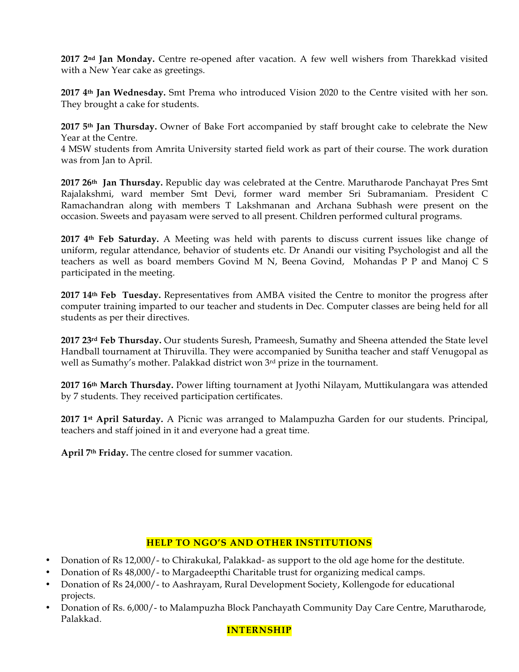**2017 2nd Jan Monday.** Centre re-opened after vacation. A few well wishers from Tharekkad visited with a New Year cake as greetings.

**2017 4th Jan Wednesday.** Smt Prema who introduced Vision 2020 to the Centre visited with her son. They brought a cake for students.

**2017 5th Jan Thursday.** Owner of Bake Fort accompanied by staff brought cake to celebrate the New Year at the Centre.

4 MSW students from Amrita University started field work as part of their course. The work duration was from Jan to April.

**2017 26th Jan Thursday.** Republic day was celebrated at the Centre. Marutharode Panchayat Pres Smt Rajalakshmi, ward member Smt Devi, former ward member Sri Subramaniam. President C Ramachandran along with members T Lakshmanan and Archana Subhash were present on the occasion. Sweets and payasam were served to all present. Children performed cultural programs.

**2017 4th Feb Saturday.** A Meeting was held with parents to discuss current issues like change of uniform, regular attendance, behavior of students etc. Dr Anandi our visiting Psychologist and all the teachers as well as board members Govind M N, Beena Govind, Mohandas P P and Manoj C S participated in the meeting.

**2017 14th Feb Tuesday.** Representatives from AMBA visited the Centre to monitor the progress after computer training imparted to our teacher and students in Dec. Computer classes are being held for all students as per their directives.

**2017 23rd Feb Thursday.** Our students Suresh, Prameesh, Sumathy and Sheena attended the State level Handball tournament at Thiruvilla. They were accompanied by Sunitha teacher and staff Venugopal as well as Sumathy's mother. Palakkad district won 3rd prize in the tournament.

**2017 16th March Thursday.** Power lifting tournament at Jyothi Nilayam, Muttikulangara was attended by 7 students. They received participation certificates.

**2017 1st April Saturday.** A Picnic was arranged to Malampuzha Garden for our students. Principal, teachers and staff joined in it and everyone had a great time.

**April 7th Friday.** The centre closed for summer vacation.

## **HELP TO NGO'S AND OTHER INSTITUTIONS**

- Donation of Rs 12,000/- to Chirakukal, Palakkad- as support to the old age home for the destitute.
- Donation of Rs 48,000/- to Margadeepthi Charitable trust for organizing medical camps.
- Donation of Rs 24,000/- to Aashrayam, Rural Development Society, Kollengode for educational projects.
- Donation of Rs. 6,000/- to Malampuzha Block Panchayath Community Day Care Centre, Marutharode, Palakkad.

#### **INTERNSHIP**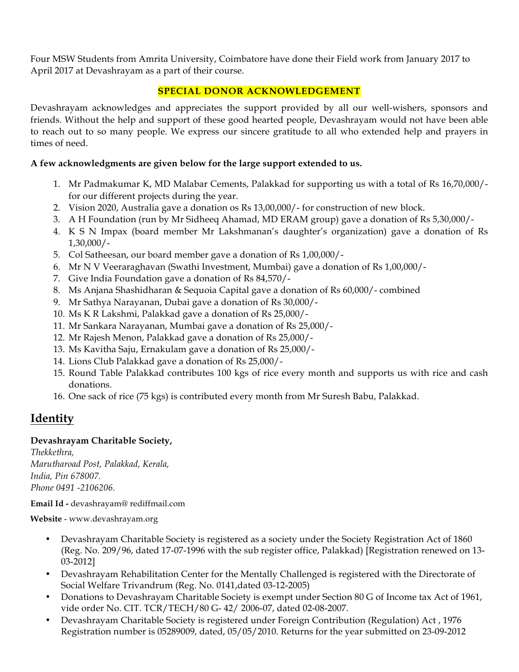Four MSW Students from Amrita University, Coimbatore have done their Field work from January 2017 to April 2017 at Devashrayam as a part of their course.

## **SPECIAL DONOR ACKNOWLEDGEMENT**

Devashrayam acknowledges and appreciates the support provided by all our well-wishers, sponsors and friends. Without the help and support of these good hearted people, Devashrayam would not have been able to reach out to so many people. We express our sincere gratitude to all who extended help and prayers in times of need.

## **A few acknowledgments are given below for the large support extended to us.**

- 1. Mr Padmakumar K, MD Malabar Cements, Palakkad for supporting us with a total of Rs 16,70,000/ for our different projects during the year.
- 2. Vision 2020, Australia gave a donation os Rs 13,00,000/- for construction of new block.
- 3. A H Foundation (run by Mr Sidheeq Ahamad, MD ERAM group) gave a donation of Rs 5,30,000/-
- 4. K S N Impax (board member Mr Lakshmanan's daughter's organization) gave a donation of Rs 1,30,000/-
- 5. Col Satheesan, our board member gave a donation of Rs 1,00,000/-
- 6. Mr N V Veeraraghavan (Swathi Investment, Mumbai) gave a donation of Rs 1,00,000/-
- 7. Give India Foundation gave a donation of Rs 84,570/-
- 8. Ms Anjana Shashidharan & Sequoia Capital gave a donation of Rs 60,000/- combined
- 9. Mr Sathya Narayanan, Dubai gave a donation of Rs 30,000/-
- 10. Ms K R Lakshmi, Palakkad gave a donation of Rs 25,000/-
- 11. Mr Sankara Narayanan, Mumbai gave a donation of Rs 25,000/-
- 12. Mr Rajesh Menon, Palakkad gave a donation of Rs 25,000/-
- 13. Ms Kavitha Saju, Ernakulam gave a donation of Rs 25,000/-
- 14. Lions Club Palakkad gave a donation of Rs 25,000/-
- 15. Round Table Palakkad contributes 100 kgs of rice every month and supports us with rice and cash donations.
- 16. One sack of rice (75 kgs) is contributed every month from Mr Suresh Babu, Palakkad.

# **Identity**

#### **Devashrayam Charitable Society,**

*Thekkethra, Marutharoad Post, Palakkad, Kerala, India, Pin 678007. Phone 0491 -2106206.* 

**Email Id -** devashrayam@ rediffmail.com

**Website** - www.devashrayam.org

- Devashrayam Charitable Society is registered as a society under the Society Registration Act of 1860 (Reg. No. 209/96, dated 17-07-1996 with the sub register office, Palakkad) [Registration renewed on 13- 03-2012]
- Devashrayam Rehabilitation Center for the Mentally Challenged is registered with the Directorate of Social Welfare Trivandrum (Reg. No. 0141,dated 03-12-2005)
- Donations to Devashrayam Charitable Society is exempt under Section 80 G of Income tax Act of 1961, vide order No. CIT. TCR/TECH/80 G- 42/ 2006-07, dated 02-08-2007.
- Devashrayam Charitable Society is registered under Foreign Contribution (Regulation) Act , 1976 Registration number is 05289009, dated, 05/05/2010. Returns for the year submitted on 23-09-2012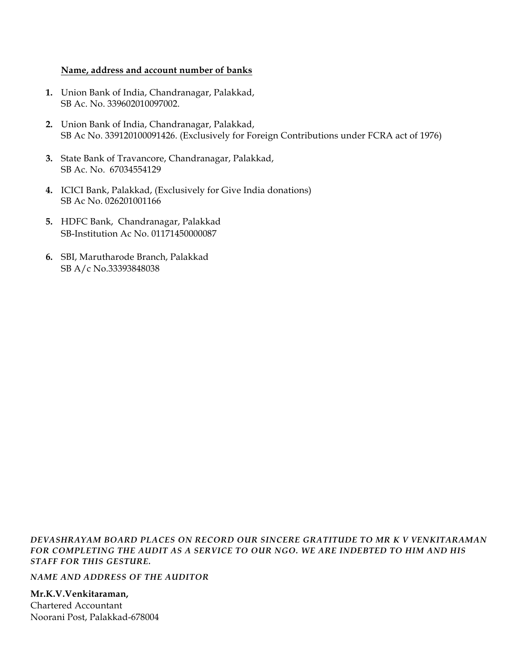### **Name, address and account number of banks**

- **1.** Union Bank of India, Chandranagar, Palakkad, SB Ac. No. 339602010097002.
- **2.** Union Bank of India, Chandranagar, Palakkad, SB Ac No. 339120100091426. (Exclusively for Foreign Contributions under FCRA act of 1976)
- **3.** State Bank of Travancore, Chandranagar, Palakkad, SB Ac. No. 67034554129
- **4.** ICICI Bank, Palakkad, (Exclusively for Give India donations) SB Ac No. 026201001166
- **5.** HDFC Bank, Chandranagar, Palakkad SB-Institution Ac No. 01171450000087
- **6.** SBI, Marutharode Branch, Palakkad SB A/c No.33393848038

*DEVASHRAYAM BOARD PLACES ON RECORD OUR SINCERE GRATITUDE TO MR K V VENKITARAMAN FOR COMPLETING THE AUDIT AS A SERVICE TO OUR NGO. WE ARE INDEBTED TO HIM AND HIS STAFF FOR THIS GESTURE.*

*NAME AND ADDRESS OF THE AUDITOR*

**Mr.K.V.Venkitaraman,** Chartered Accountant Noorani Post, Palakkad-678004